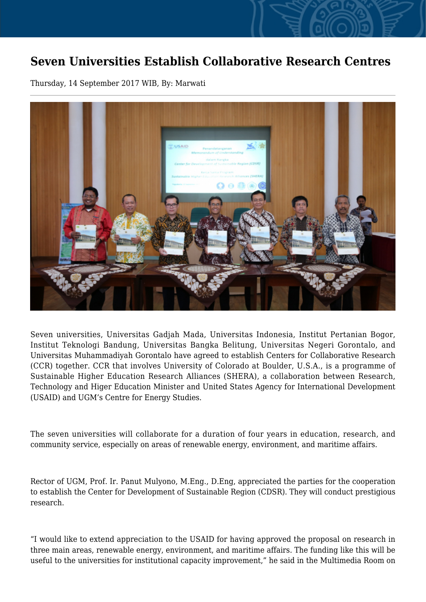## **Seven Universities Establish Collaborative Research Centres**

Thursday, 14 September 2017 WIB, By: Marwati



Seven universities, Universitas Gadjah Mada, Universitas Indonesia, Institut Pertanian Bogor, Institut Teknologi Bandung, Universitas Bangka Belitung, Universitas Negeri Gorontalo, and Universitas Muhammadiyah Gorontalo have agreed to establish Centers for Collaborative Research (CCR) together. CCR that involves University of Colorado at Boulder, U.S.A., is a programme of Sustainable Higher Education Research Alliances (SHERA), a collaboration between Research, Technology and Higer Education Minister and United States Agency for International Development (USAID) and UGM's Centre for Energy Studies.

The seven universities will collaborate for a duration of four years in education, research, and community service, especially on areas of renewable energy, environment, and maritime affairs.

Rector of UGM, Prof. Ir. Panut Mulyono, M.Eng., D.Eng, appreciated the parties for the cooperation to establish the Center for Development of Sustainable Region (CDSR). They will conduct prestigious research.

"I would like to extend appreciation to the USAID for having approved the proposal on research in three main areas, renewable energy, environment, and maritime affairs. The funding like this will be useful to the universities for institutional capacity improvement," he said in the Multimedia Room on